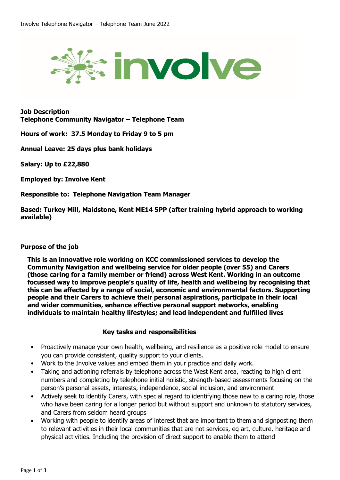

**Job Description Telephone Community Navigator – Telephone Team**

**Hours of work: 37.5 Monday to Friday 9 to 5 pm**

**Annual Leave: 25 days plus bank holidays**

**Salary: Up to £22,880**

**Employed by: Involve Kent**

**Responsible to: Telephone Navigation Team Manager**

**Based: Turkey Mill, Maidstone, Kent ME14 5PP (after training hybrid approach to working available)**

## **Purpose of the job**

**This is an innovative role working on KCC commissioned services to develop the Community Navigation and wellbeing service for older people (over 55) and Carers (those caring for a family member or friend) across West Kent. Working in an outcome focussed way to improve people's quality of life, health and wellbeing by recognising that this can be affected by a range of social, economic and environmental factors. Supporting people and their Carers to achieve their personal aspirations, participate in their local and wider communities, enhance effective personal support networks, enabling individuals to maintain healthy lifestyles; and lead independent and fulfilled lives**

## **Key tasks and responsibilities**

- Proactively manage your own health, wellbeing, and resilience as a positive role model to ensure you can provide consistent, quality support to your clients.
- Work to the Involve values and embed them in your practice and daily work.
- Taking and actioning referrals by telephone across the West Kent area, reacting to high client numbers and completing by telephone initial holistic, strength-based assessments focusing on the person's personal assets, interests, independence, social inclusion, and environment
- Actively seek to identify Carers, with special regard to identifying those new to a caring role, those who have been caring for a longer period but without support and unknown to statutory services, and Carers from seldom heard groups
- Working with people to identify areas of interest that are important to them and signposting them to relevant activities in their local communities that are not services, eg art, culture, heritage and physical activities. Including the provision of direct support to enable them to attend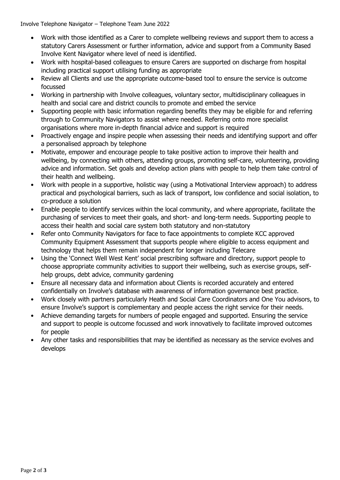Involve Telephone Navigator – Telephone Team June 2022

- Work with those identified as a Carer to complete wellbeing reviews and support them to access a statutory Carers Assessment or further information, advice and support from a Community Based Involve Kent Navigator where level of need is identified.
- Work with hospital-based colleagues to ensure Carers are supported on discharge from hospital including practical support utilising funding as appropriate
- Review all Clients and use the appropriate outcome-based tool to ensure the service is outcome focussed
- Working in partnership with Involve colleagues, voluntary sector, multidisciplinary colleagues in health and social care and district councils to promote and embed the service
- Supporting people with basic information regarding benefits they may be eligible for and referring through to Community Navigators to assist where needed. Referring onto more specialist organisations where more in-depth financial advice and support is required
- Proactively engage and inspire people when assessing their needs and identifying support and offer a personalised approach by telephone
- Motivate, empower and encourage people to take positive action to improve their health and wellbeing, by connecting with others, attending groups, promoting self-care, volunteering, providing advice and information. Set goals and develop action plans with people to help them take control of their health and wellbeing.
- Work with people in a supportive, holistic way (using a Motivational Interview approach) to address practical and psychological barriers, such as lack of transport, low confidence and social isolation, to co-produce a solution
- Enable people to identify services within the local community, and where appropriate, facilitate the purchasing of services to meet their goals, and short- and long-term needs. Supporting people to access their health and social care system both statutory and non-statutory
- Refer onto Community Navigators for face to face appointments to complete KCC approved Community Equipment Assessment that supports people where eligible to access equipment and technology that helps them remain independent for longer including Telecare
- Using the 'Connect Well West Kent' social prescribing software and directory, support people to choose appropriate community activities to support their wellbeing, such as exercise groups, selfhelp groups, debt advice, community gardening
- Ensure all necessary data and information about Clients is recorded accurately and entered confidentially on Involve's database with awareness of information governance best practice.
- Work closely with partners particularly Heath and Social Care Coordinators and One You advisors, to ensure Involve's support is complementary and people access the right service for their needs.
- Achieve demanding targets for numbers of people engaged and supported. Ensuring the service and support to people is outcome focussed and work innovatively to facilitate improved outcomes for people
- Any other tasks and responsibilities that may be identified as necessary as the service evolves and develops